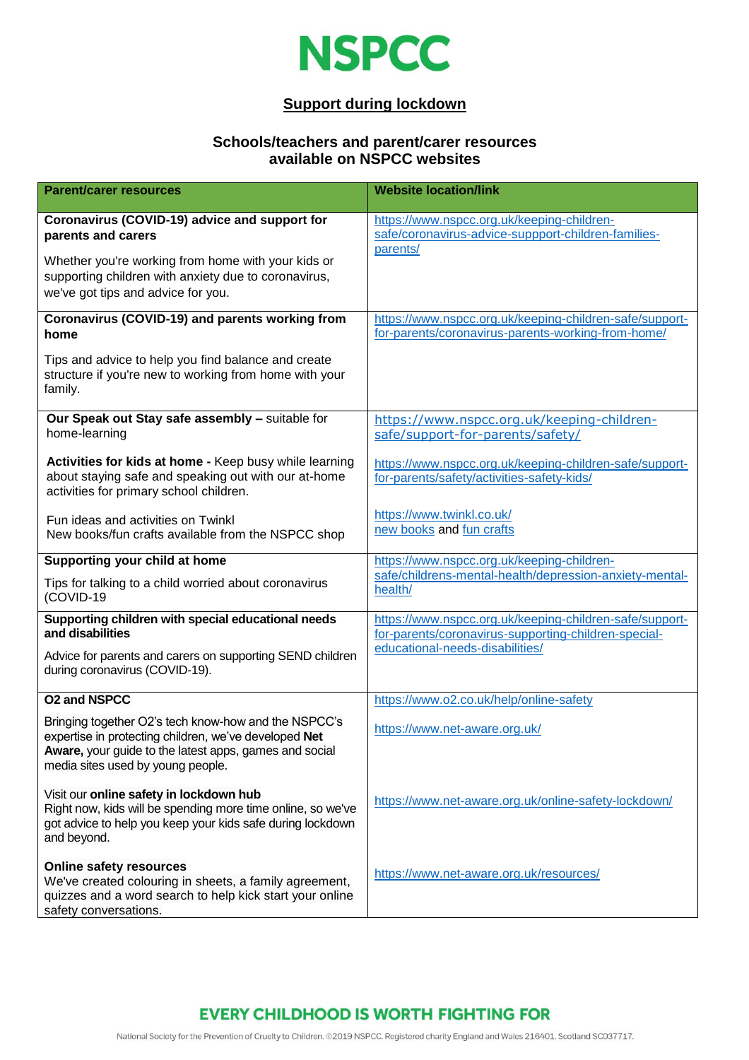

### **Support during lockdown**

#### **Schools/teachers and parent/carer resources available on NSPCC websites**

| <b>Parent/carer resources</b>                                                                                                                                                                                | <b>Website location/link</b>                                                                                    |
|--------------------------------------------------------------------------------------------------------------------------------------------------------------------------------------------------------------|-----------------------------------------------------------------------------------------------------------------|
| Coronavirus (COVID-19) advice and support for<br>parents and carers                                                                                                                                          | https://www.nspcc.org.uk/keeping-children-<br>safe/coronavirus-advice-suppport-children-families-<br>parents/   |
| Whether you're working from home with your kids or<br>supporting children with anxiety due to coronavirus,<br>we've got tips and advice for you.                                                             |                                                                                                                 |
| Coronavirus (COVID-19) and parents working from<br>home                                                                                                                                                      | https://www.nspcc.org.uk/keeping-children-safe/support-<br>for-parents/coronavirus-parents-working-from-home/   |
| Tips and advice to help you find balance and create<br>structure if you're new to working from home with your<br>family.                                                                                     |                                                                                                                 |
| Our Speak out Stay safe assembly - suitable for<br>home-learning                                                                                                                                             | https://www.nspcc.org.uk/keeping-children-<br>safe/support-for-parents/safety/                                  |
| Activities for kids at home - Keep busy while learning<br>about staying safe and speaking out with our at-home<br>activities for primary school children.                                                    | https://www.nspcc.org.uk/keeping-children-safe/support-<br>for-parents/safety/activities-safety-kids/           |
| Fun ideas and activities on Twinkl<br>New books/fun crafts available from the NSPCC shop                                                                                                                     | https://www.twinkl.co.uk/<br>new books and fun crafts                                                           |
| Supporting your child at home                                                                                                                                                                                | https://www.nspcc.org.uk/keeping-children-                                                                      |
| Tips for talking to a child worried about coronavirus<br>(COVID-19                                                                                                                                           | safe/childrens-mental-health/depression-anxiety-mental-<br>health/                                              |
| Supporting children with special educational needs<br>and disabilities                                                                                                                                       | https://www.nspcc.org.uk/keeping-children-safe/support-<br>for-parents/coronavirus-supporting-children-special- |
| Advice for parents and carers on supporting SEND children<br>during coronavirus (COVID-19).                                                                                                                  | educational-needs-disabilities/                                                                                 |
| <b>O2 and NSPCC</b>                                                                                                                                                                                          | https://www.o2.co.uk/help/online-safety                                                                         |
| Bringing together O2's tech know-how and the NSPCC's<br>expertise in protecting children, we've developed Net<br>Aware, your guide to the latest apps, games and social<br>media sites used by young people. | https://www.net-aware.org.uk/                                                                                   |
| Visit our online safety in lockdown hub<br>Right now, kids will be spending more time online, so we've<br>got advice to help you keep your kids safe during lockdown<br>and beyond.                          | https://www.net-aware.org.uk/online-safety-lockdown/                                                            |
| <b>Online safety resources</b><br>We've created colouring in sheets, a family agreement,<br>quizzes and a word search to help kick start your online<br>safety conversations.                                | https://www.net-aware.org.uk/resources/                                                                         |

# **EVERY CHILDHOOD IS WORTH FIGHTING FOR**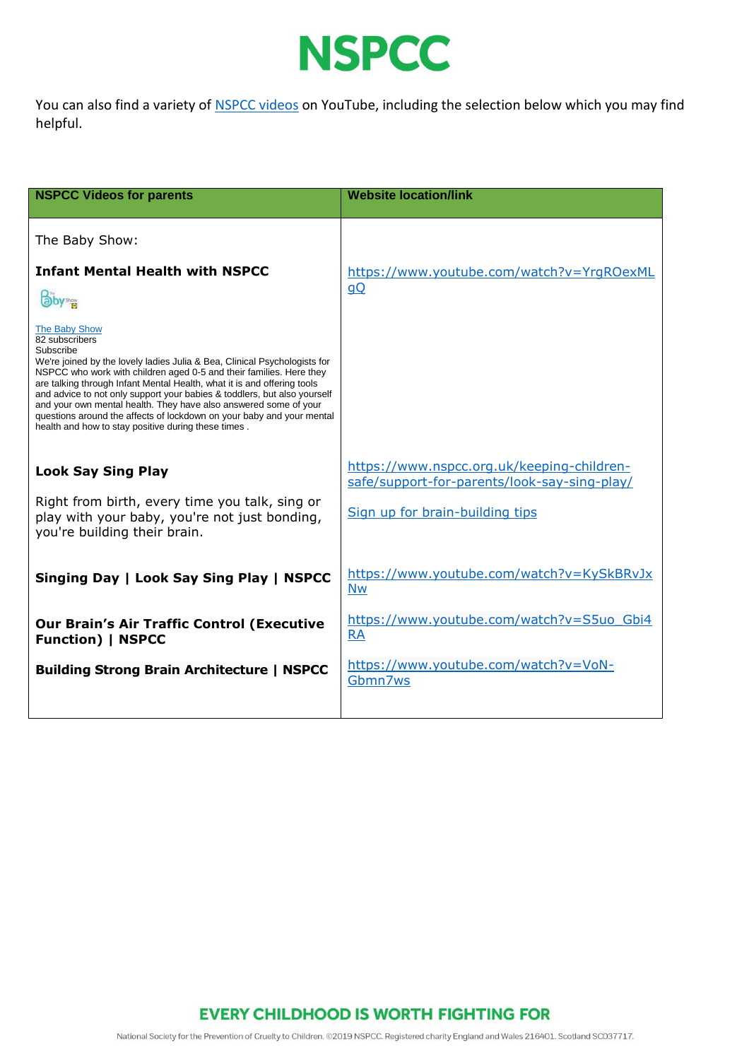

You can also find a variety of **NSPCC** videos on YouTube, including the selection below which you may find helpful.

| <b>NSPCC Videos for parents</b>                                                                                                                                                                                                                                                                                                                                                                                                                                                                                                                                    | <b>Website location/link</b>                                                                                                  |
|--------------------------------------------------------------------------------------------------------------------------------------------------------------------------------------------------------------------------------------------------------------------------------------------------------------------------------------------------------------------------------------------------------------------------------------------------------------------------------------------------------------------------------------------------------------------|-------------------------------------------------------------------------------------------------------------------------------|
| The Baby Show:                                                                                                                                                                                                                                                                                                                                                                                                                                                                                                                                                     |                                                                                                                               |
| <b>Infant Mental Health with NSPCC</b><br>aby <sup>s</sup><br>The Baby Show<br>82 subscribers<br>Subscribe<br>We're joined by the lovely ladies Julia & Bea, Clinical Psychologists for<br>NSPCC who work with children aged 0-5 and their families. Here they<br>are talking through Infant Mental Health, what it is and offering tools<br>and advice to not only support your babies & toddlers, but also yourself<br>and your own mental health. They have also answered some of your<br>questions around the affects of lockdown on your baby and your mental | https://www.youtube.com/watch?v=YrqROexML<br>$\underline{Q}$                                                                  |
| health and how to stay positive during these times.<br><b>Look Say Sing Play</b><br>Right from birth, every time you talk, sing or<br>play with your baby, you're not just bonding,<br>you're building their brain.                                                                                                                                                                                                                                                                                                                                                | https://www.nspcc.org.uk/keeping-children-<br>safe/support-for-parents/look-say-sing-play/<br>Sign up for brain-building tips |
| Singing Day   Look Say Sing Play   NSPCC                                                                                                                                                                                                                                                                                                                                                                                                                                                                                                                           | https://www.youtube.com/watch?v=KySkBRvJx<br><b>Nw</b>                                                                        |
| <b>Our Brain's Air Traffic Control (Executive</b><br><b>Function)   NSPCC</b>                                                                                                                                                                                                                                                                                                                                                                                                                                                                                      | https://www.youtube.com/watch?v=S5uo Gbi4<br><b>RA</b>                                                                        |
| <b>Building Strong Brain Architecture   NSPCC</b>                                                                                                                                                                                                                                                                                                                                                                                                                                                                                                                  | https://www.youtube.com/watch?v=VoN-<br>Gbmn7ws                                                                               |

**EVERY CHILDHOOD IS WORTH FIGHTING FOR** 

National Society for the Prevention of Cruelty to Children. @2019 NSPCC. Registered charity England and Wales 216401. Scotland SC037717.